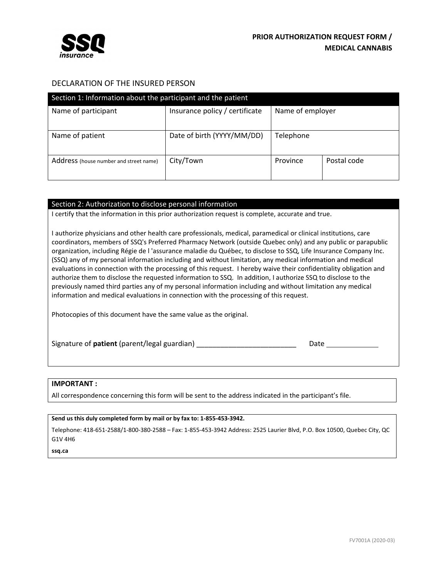

# DECLARATION OF THE INSURED PERSON

| Section 1: Information about the participant and the patient |                                |                  |             |  |  |
|--------------------------------------------------------------|--------------------------------|------------------|-------------|--|--|
| Name of participant                                          | Insurance policy / certificate | Name of employer |             |  |  |
| Name of patient                                              | Date of birth (YYYY/MM/DD)     | Telephone        |             |  |  |
| Address (house number and street name)                       | City/Town                      | Province         | Postal code |  |  |

## Section 2: Authorization to disclose personal information

I certify that the information in this prior authorization request is complete, accurate and true.

I authorize physicians and other health care professionals, medical, paramedical or clinical institutions, care coordinators, members of SSQ's Preferred Pharmacy Network (outside Quebec only) and any public or parapublic organization, including Régie de l 'assurance maladie du Québec, to disclose to SSQ, Life Insurance Company Inc. (SSQ) any of my personal information including and without limitation, any medical information and medical evaluations in connection with the processing of this request. I hereby waive their confidentiality obligation and authorize them to disclose the requested information to SSQ. In addition, I authorize SSQ to disclose to the previously named third parties any of my personal information including and without limitation any medical information and medical evaluations in connection with the processing of this request.

Photocopies of this document have the same value as the original.

Signature of **patient** (parent/legal guardian) \_\_\_\_\_\_\_\_\_\_\_\_\_\_\_\_\_\_\_\_\_\_\_\_\_\_\_\_\_\_\_\_\_Date

#### **IMPORTANT :**

All correspondence concerning this form will be sent to the address indicated in the participant's file.

**Send us this duly completed form by mail or by fax to: 1‐855‐453‐3942.**

Telephone: 418‐651‐2588/1‐800‐380‐2588 – Fax: 1‐855‐453‐3942 Address: 2525 Laurier Blvd, P.O. Box 10500, Quebec City, QC G1V 4H6

**ssq.ca**